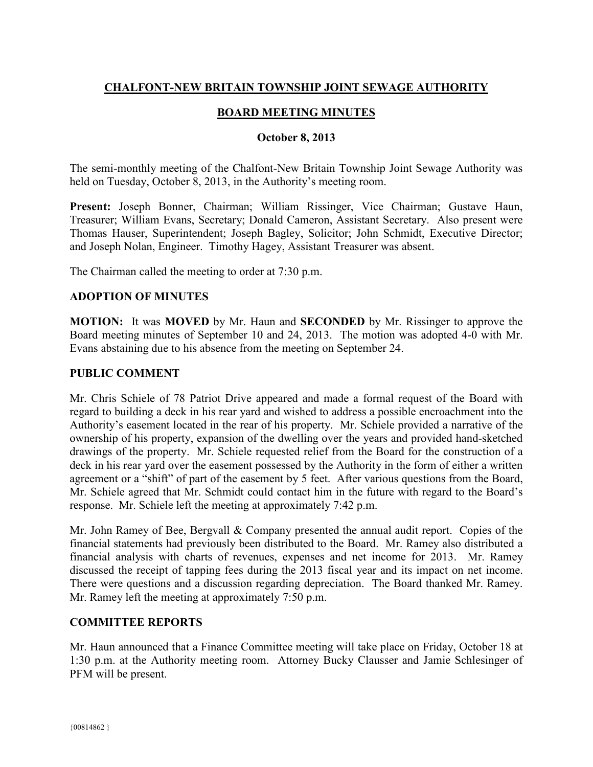# **CHALFONT-NEW BRITAIN TOWNSHIP JOINT SEWAGE AUTHORITY**

### **BOARD MEETING MINUTES**

#### **October 8, 2013**

The semi-monthly meeting of the Chalfont-New Britain Township Joint Sewage Authority was held on Tuesday, October 8, 2013, in the Authority's meeting room.

**Present:** Joseph Bonner, Chairman; William Rissinger, Vice Chairman; Gustave Haun, Treasurer; William Evans, Secretary; Donald Cameron, Assistant Secretary. Also present were Thomas Hauser, Superintendent; Joseph Bagley, Solicitor; John Schmidt, Executive Director; and Joseph Nolan, Engineer. Timothy Hagey, Assistant Treasurer was absent.

The Chairman called the meeting to order at 7:30 p.m.

### **ADOPTION OF MINUTES**

**MOTION:** It was **MOVED** by Mr. Haun and **SECONDED** by Mr. Rissinger to approve the Board meeting minutes of September 10 and 24, 2013. The motion was adopted 4-0 with Mr. Evans abstaining due to his absence from the meeting on September 24.

### **PUBLIC COMMENT**

Mr. Chris Schiele of 78 Patriot Drive appeared and made a formal request of the Board with regard to building a deck in his rear yard and wished to address a possible encroachment into the Authority's easement located in the rear of his property. Mr. Schiele provided a narrative of the ownership of his property, expansion of the dwelling over the years and provided hand-sketched drawings of the property. Mr. Schiele requested relief from the Board for the construction of a deck in his rear yard over the easement possessed by the Authority in the form of either a written agreement or a "shift" of part of the easement by 5 feet. After various questions from the Board, Mr. Schiele agreed that Mr. Schmidt could contact him in the future with regard to the Board's response. Mr. Schiele left the meeting at approximately 7:42 p.m.

Mr. John Ramey of Bee, Bergvall & Company presented the annual audit report. Copies of the financial statements had previously been distributed to the Board. Mr. Ramey also distributed a financial analysis with charts of revenues, expenses and net income for 2013. Mr. Ramey discussed the receipt of tapping fees during the 2013 fiscal year and its impact on net income. There were questions and a discussion regarding depreciation. The Board thanked Mr. Ramey. Mr. Ramey left the meeting at approximately 7:50 p.m.

### **COMMITTEE REPORTS**

Mr. Haun announced that a Finance Committee meeting will take place on Friday, October 18 at 1:30 p.m. at the Authority meeting room. Attorney Bucky Clausser and Jamie Schlesinger of PFM will be present.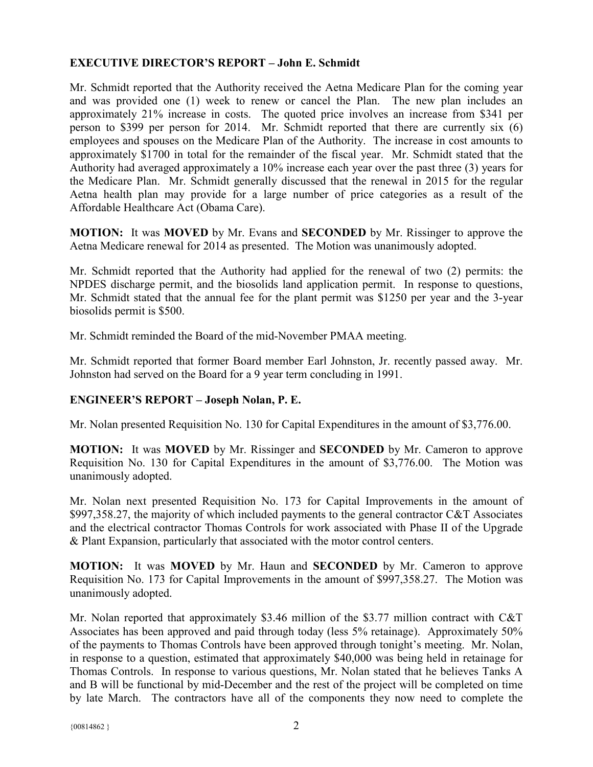## **EXECUTIVE DIRECTOR'S REPORT – John E. Schmidt**

Mr. Schmidt reported that the Authority received the Aetna Medicare Plan for the coming year and was provided one (1) week to renew or cancel the Plan. The new plan includes an approximately 21% increase in costs. The quoted price involves an increase from \$341 per person to \$399 per person for 2014. Mr. Schmidt reported that there are currently six (6) employees and spouses on the Medicare Plan of the Authority. The increase in cost amounts to approximately \$1700 in total for the remainder of the fiscal year. Mr. Schmidt stated that the Authority had averaged approximately a 10% increase each year over the past three (3) years for the Medicare Plan. Mr. Schmidt generally discussed that the renewal in 2015 for the regular Aetna health plan may provide for a large number of price categories as a result of the Affordable Healthcare Act (Obama Care).

**MOTION:** It was **MOVED** by Mr. Evans and **SECONDED** by Mr. Rissinger to approve the Aetna Medicare renewal for 2014 as presented. The Motion was unanimously adopted.

Mr. Schmidt reported that the Authority had applied for the renewal of two (2) permits: the NPDES discharge permit, and the biosolids land application permit. In response to questions, Mr. Schmidt stated that the annual fee for the plant permit was \$1250 per year and the 3-year biosolids permit is \$500.

Mr. Schmidt reminded the Board of the mid-November PMAA meeting.

Mr. Schmidt reported that former Board member Earl Johnston, Jr. recently passed away. Mr. Johnston had served on the Board for a 9 year term concluding in 1991.

### **ENGINEER'S REPORT – Joseph Nolan, P. E.**

Mr. Nolan presented Requisition No. 130 for Capital Expenditures in the amount of \$3,776.00.

**MOTION:** It was **MOVED** by Mr. Rissinger and **SECONDED** by Mr. Cameron to approve Requisition No. 130 for Capital Expenditures in the amount of \$3,776.00. The Motion was unanimously adopted.

Mr. Nolan next presented Requisition No. 173 for Capital Improvements in the amount of \$997,358.27, the majority of which included payments to the general contractor C&T Associates and the electrical contractor Thomas Controls for work associated with Phase II of the Upgrade & Plant Expansion, particularly that associated with the motor control centers.

**MOTION:** It was **MOVED** by Mr. Haun and **SECONDED** by Mr. Cameron to approve Requisition No. 173 for Capital Improvements in the amount of \$997,358.27. The Motion was unanimously adopted.

Mr. Nolan reported that approximately \$3.46 million of the \$3.77 million contract with C&T Associates has been approved and paid through today (less 5% retainage). Approximately 50% of the payments to Thomas Controls have been approved through tonight's meeting. Mr. Nolan, in response to a question, estimated that approximately \$40,000 was being held in retainage for Thomas Controls. In response to various questions, Mr. Nolan stated that he believes Tanks A and B will be functional by mid-December and the rest of the project will be completed on time by late March. The contractors have all of the components they now need to complete the